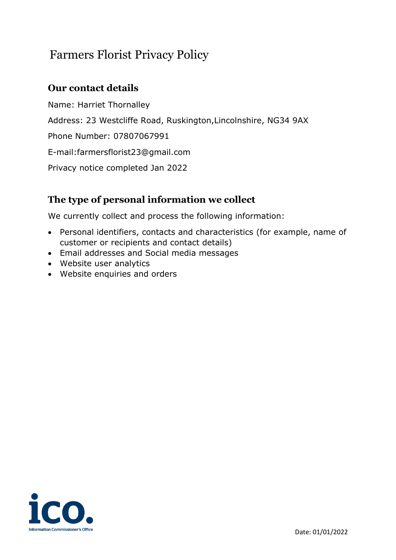# Farmers Florist Privacy Policy

# **Our contact details**

Name: Harriet Thornalley Address: 23 Westcliffe Road, Ruskington,Lincolnshire, NG34 9AX Phone Number: 07807067991 E-mail:farmersflorist23@gmail.com Privacy notice completed Jan 2022

# **The type of personal information we collect**

We currently collect and process the following information:

- Personal identifiers, contacts and characteristics (for example, name of customer or recipients and contact details)
- Email addresses and Social media messages
- Website user analytics
- Website enquiries and orders

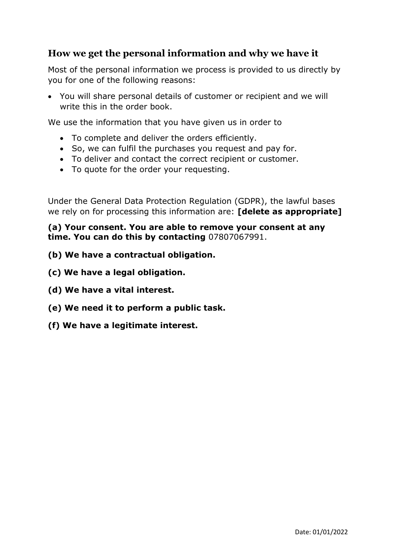#### **How we get the personal information and why we have it**

Most of the personal information we process is provided to us directly by you for one of the following reasons:

• You will share personal details of customer or recipient and we will write this in the order book.

We use the information that you have given us in order to

- To complete and deliver the orders efficiently.
- So, we can fulfil the purchases you request and pay for.
- To deliver and contact the correct recipient or customer.
- To quote for the order your requesting.

Under the General Data Protection Regulation (GDPR), the lawful bases we rely on for processing this information are: **[delete as appropriate]**

**(a) Your consent. You are able to remove your consent at any time. You can do this by contacting** 07807067991.

- **(b) We have a contractual obligation.**
- **(c) We have a legal obligation.**
- **(d) We have a vital interest.**
- **(e) We need it to perform a public task.**
- **(f) We have a legitimate interest.**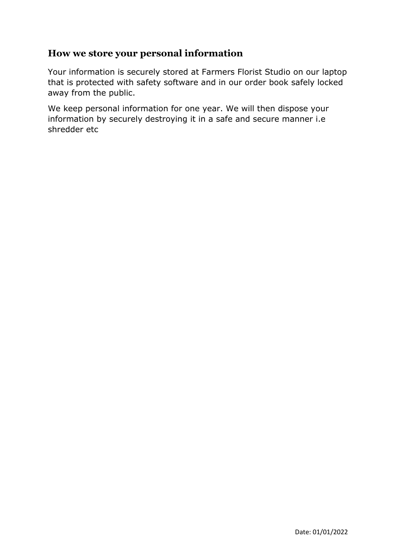#### **How we store your personal information**

Your information is securely stored at Farmers Florist Studio on our laptop that is protected with safety software and in our order book safely locked away from the public.

We keep personal information for one year. We will then dispose your information by securely destroying it in a safe and secure manner i.e shredder etc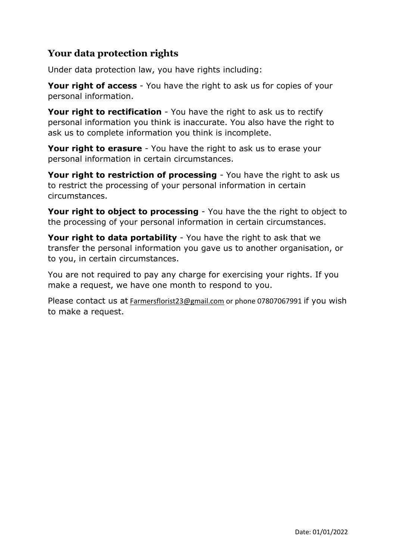## **Your data protection rights**

Under data protection law, you have rights including:

**Your right of access** - You have the right to ask us for copies of your personal information.

**Your right to rectification** - You have the right to ask us to rectify personal information you think is inaccurate. You also have the right to ask us to complete information you think is incomplete.

**Your right to erasure** - You have the right to ask us to erase your personal information in certain circumstances.

**Your right to restriction of processing** - You have the right to ask us to restrict the processing of your personal information in certain circumstances.

**Your right to object to processing** - You have the the right to object to the processing of your personal information in certain circumstances.

**Your right to data portability** - You have the right to ask that we transfer the personal information you gave us to another organisation, or to you, in certain circumstances.

You are not required to pay any charge for exercising your rights. If you make a request, we have one month to respond to you.

Please contact us at [Farmersflorist23@gmail.com](mailto:Farmersflorist23@gmail.com) or phone 07807067991 if you wish to make a request.